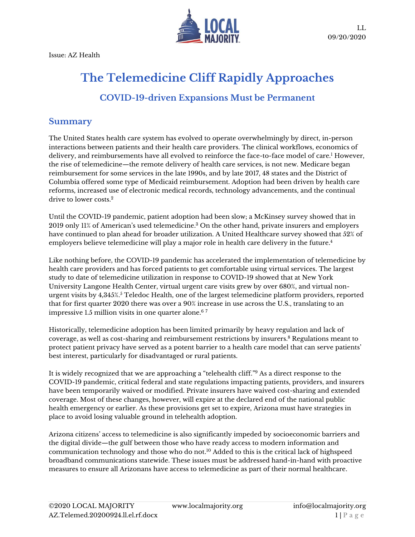Issue: AZ Health



# **The Telemedicine Cliff Rapidly Approaches**

# **COVID-19-driven Expansions Must be Permanent**

### **Summary**

The United States health care system has evolved to operate overwhelmingly by direct, in-person interactions between patients and their health care providers. The clinical workflows, economics of delivery, and reimbursements have all evolved to reinforce the face-to-face model of care.<sup>1</sup> However, the rise of telemedicine—the remote delivery of health care services, is not new. Medicare began reimbursement for some services in the late 1990s, and by late 2017, 48 states and the District of Columbia offered some type of Medicaid reimbursement. Adoption had been driven by health care reforms, increased use of electronic medical records, technology advancements, and the continual drive to lower costs.<sup>2</sup>

Until the COVID-19 pandemic, patient adoption had been slow; a McKinsey survey showed that in 2019 only 11% of American's used telemedicine. <sup>3</sup> On the other hand, private insurers and employers have continued to plan ahead for broader utilization. A United Healthcare survey showed that 52% of employers believe telemedicine will play a major role in health care delivery in the future. 4

Like nothing before, the COVID-19 pandemic has accelerated the implementation of telemedicine by health care providers and has forced patients to get comfortable using virtual services. The largest study to date of telemedicine utilization in response to COVID-19 showed that at New York University Langone Health Center, virtual urgent care visits grew by over 680%, and virtual nonurgent visits by 4,345%.<sup>5</sup> Teledoc Health, one of the largest telemedicine platform providers, reported that for first quarter 2020 there was over a 90% increase in use across the U.S., translating to an impressive 1.5 million visits in one quarter alone.<sup>6</sup> <sup>7</sup>

Historically, telemedicine adoption has been limited primarily by heavy regulation and lack of coverage, as well as cost-sharing and reimbursement restrictions by insurers. <sup>8</sup> Regulations meant to protect patient privacy have served as a potent barrier to a health care model that can serve patients' best interest, particularly for disadvantaged or rural patients.

It is widely recognized that we are approaching a "telehealth cliff." <sup>9</sup> As a direct response to the COVID-19 pandemic, critical federal and state regulations impacting patients, providers, and insurers have been temporarily waived or modified. Private insurers have waived cost-sharing and extended coverage. Most of these changes, however, will expire at the declared end of the national public health emergency or earlier. As these provisions get set to expire, Arizona must have strategies in place to avoid losing valuable ground in telehealth adoption.

Arizona citizens' access to telemedicine is also significantly impeded by socioeconomic barriers and the digital divide—the gulf between those who have ready access to modern information and communication technology and those who do not. <sup>10</sup> Added to this is the critical lack of highspeed broadband communications statewide. These issues must be addressed hand-in-hand with proactive measures to ensure all Arizonans have access to telemedicine as part of their normal healthcare.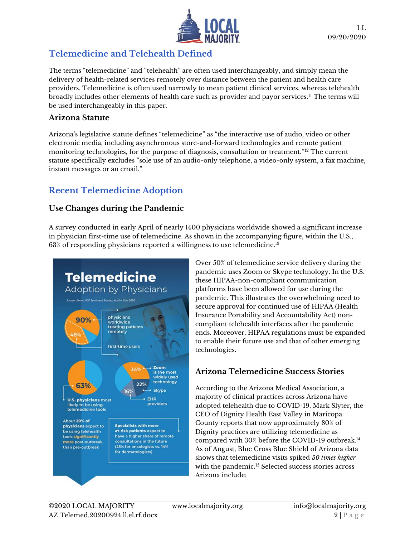

# **Telemedicine and Telehealth Defined**

The terms "telemedicine" and "telehealth" are often used interchangeably, and simply mean the delivery of health-related services remotely over distance between the patient and health care providers. Telemedicine is often used narrowly to mean patient clinical services, whereas telehealth broadly includes other elements of health care such as provider and payor services.<sup>11</sup> The terms will be used interchangeably in this paper.

#### **Arizona Statute**

Arizona's legislative statute defines "telemedicine" as "the interactive use of audio, video or other electronic media, including asynchronous store-and-forward technologies and remote patient monitoring technologies, for the purpose of diagnosis, consultation or treatment." <sup>12</sup> The current statute specifically excludes "sole use of an audio-only telephone, a video-only system, a fax machine, instant messages or an email."

# **Recent Telemedicine Adoption**

### **Use Changes during the Pandemic**

A survey conducted in early April of nearly 1400 physicians worldwide showed a significant increase in physician first-time use of telemedicine. As shown in the accompanying figure, within the U.S.,  $63\%$  of responding physicians reported a willingness to use telemedicine. $^{13}$ 



Over 50% of telemedicine service delivery during the pandemic uses Zoom or Skype technology. In the U.S. these HIPAA-non-compliant communication platforms have been allowed for use during the pandemic. This illustrates the overwhelming need to secure approval for continued use of HIPAA (Health Insurance Portability and Accountability Act) noncompliant telehealth interfaces after the pandemic ends. Moreover, HIPAA regulations must be expanded to enable their future use and that of other emerging technologies.

### **Arizona Telemedicine Success Stories**

According to the Arizona Medical Association, a majority of clinical practices across Arizona have adopted telehealth due to COVID-19. Mark Slyter, the CEO of Dignity Health East Valley in Maricopa County reports that now approximately 80% of Dignity practices are utilizing telemedicine as compared with 30% before the COVID-19 outbreak.<sup>14</sup> As of August, Blue Cross Blue Shield of Arizona data shows that telemedicine visits spiked *50 times higher* with the pandemic.<sup>15</sup> Selected success stories across Arizona include: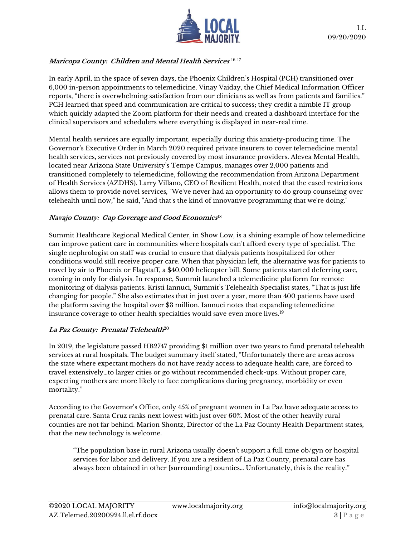

#### **Maricopa County: Children and Mental Health Services** 16 17

In early April, in the space of seven days, the Phoenix Children's Hospital (PCH) transitioned over 6,000 in-person appointments to telemedicine. Vinay Vaiday, the Chief Medical Information Officer reports, "there is overwhelming satisfaction from our clinicians as well as from patients and families." PCH learned that speed and communication are critical to success; they credit a nimble IT group which quickly adapted the Zoom platform for their needs and created a dashboard interface for the clinical supervisors and schedulers where everything is displayed in near-real time.

Mental health services are equally important, especially during this anxiety-producing time. The Governor's Executive Order in March 2020 required private insurers to cover telemedicine mental health services, services not previously covered by most insurance providers. Alevea Mental Health, located near Arizona State University's Tempe Campus, manages over 2,000 patients and transitioned completely to telemedicine, following the recommendation from Arizona Department of Health Services (AZDHS). Larry Villano, CEO of Resilient Health, noted that the eased restrictions allows them to provide novel services, "We've never had an opportunity to do group counseling over telehealth until now," he said, "And that's the kind of innovative programming that we're doing."

#### **Navajo County: Gap Coverage and Good Economics** 18

Summit Healthcare Regional Medical Center, in Show Low, is a shining example of how telemedicine can improve patient care in communities where hospitals can't afford every type of specialist. The single nephrologist on staff was crucial to ensure that dialysis patients hospitalized for other conditions would still receive proper care. When that physician left, the alternative was for patients to travel by air to Phoenix or Flagstaff, a \$40,000 helicopter bill. Some patients started deferring care, coming in only for dialysis. In response, Summit launched a telemedicine platform for remote monitoring of dialysis patients. Kristi Iannuci, Summit's Telehealth Specialist states, "That is just life changing for people." She also estimates that in just over a year, more than 400 patients have used the platform saving the hospital over \$3 million. Iannuci notes that expanding telemedicine insurance coverage to other health specialties would save even more lives.<sup>19</sup>

#### **La Paz County: Prenatal Telehealth**<sup>20</sup>

In 2019, the legislature passed HB2747 providing \$1 million over two years to fund prenatal telehealth services at rural hospitals. The budget summary itself stated, "Unfortunately there are areas across the state where expectant mothers do not have ready access to adequate health care, are forced to travel extensively…to larger cities or go without recommended check-ups. Without proper care, expecting mothers are more likely to face complications during pregnancy, morbidity or even mortality."

According to the Governor's Office, only 45% of pregnant women in La Paz have adequate access to prenatal care. Santa Cruz ranks next lowest with just over 60%. Most of the other heavily rural counties are not far behind. Marion Shontz, Director of the La Paz County Health Department states, that the new technology is welcome.

"The population base in rural Arizona usually doesn't support a full time ob/gyn or hospital services for labor and delivery. If you are a resident of La Paz County, prenatal care has always been obtained in other [surrounding] counties… Unfortunately, this is the reality."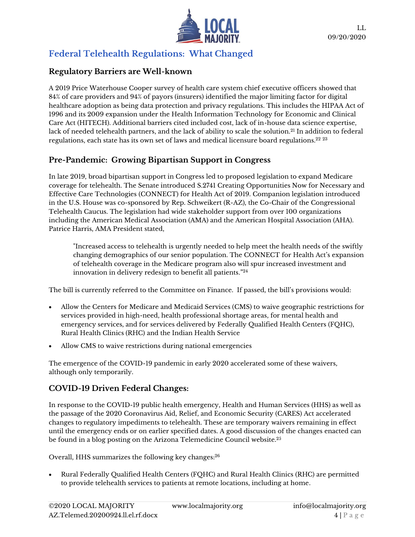

## **Federal Telehealth Regulations: What Changed**

#### **Regulatory Barriers are Well-known**

A 2019 Price Waterhouse Cooper survey of health care system chief executive officers showed that 84% of care providers and 94% of payors (insurers) identified the major limiting factor for digital healthcare adoption as being data protection and privacy regulations. This includes the HIPAA Act of 1996 and its 2009 expansion under the Health Information Technology for Economic and Clinical Care Act (HITECH). Additional barriers cited included cost, lack of in-house data science expertise, lack of needed telehealth partners, and the lack of ability to scale the solution.<sup>21</sup> In addition to federal regulations, each state has its own set of laws and medical licensure board regulations.<sup>22 23</sup>

### **Pre-Pandemic: Growing Bipartisan Support in Congress**

In late 2019, broad bipartisan support in Congress led to proposed legislation to expand Medicare coverage for telehealth. The Senate introduced S.2741 Creating Opportunities Now for Necessary and Effective Care Technologies (CONNECT) for Health Act of 2019. Companion legislation introduced in the U.S. House was co-sponsored by Rep. Schweikert (R-AZ), the Co-Chair of the Congressional Telehealth Caucus. The legislation had wide stakeholder support from over 100 organizations including the American Medical Association (AMA) and the American Hospital Association (AHA). Patrice Harris, AMA President stated,

"Increased access to telehealth is urgently needed to help meet the health needs of the swiftly changing demographics of our senior population. The CONNECT for Health Act's expansion of telehealth coverage in the Medicare program also will spur increased investment and innovation in delivery redesign to benefit all patients." 24

The bill is currently referred to the Committee on Finance. If passed, the bill's provisions would:

- Allow the Centers for Medicare and Medicaid Services (CMS) to waive geographic restrictions for services provided in high-need, health professional shortage areas, for mental health and emergency services, and for services delivered by Federally Qualified Health Centers (FQHC), Rural Health Clinics (RHC) and the Indian Health Service
- Allow CMS to waive restrictions during national emergencies

The emergence of the COVID-19 pandemic in early 2020 accelerated some of these waivers, although only temporarily.

### **COVID-19 Driven Federal Changes:**

In response to the COVID-19 public health emergency, Health and Human Services (HHS) as well as the passage of the 2020 Coronavirus Aid, Relief, and Economic Security (CARES) Act accelerated changes to regulatory impediments to telehealth. These are temporary waivers remaining in effect until the emergency ends or on earlier specified dates. A good discussion of the changes enacted can be found in a blog posting on the Arizona Telemedicine Council website.<sup>25</sup>

Overall, HHS summarizes the following key changes: 26

• Rural Federally Qualified Health Centers (FQHC) and Rural Health Clinics (RHC) are permitted to provide telehealth services to patients at remote locations, including at home.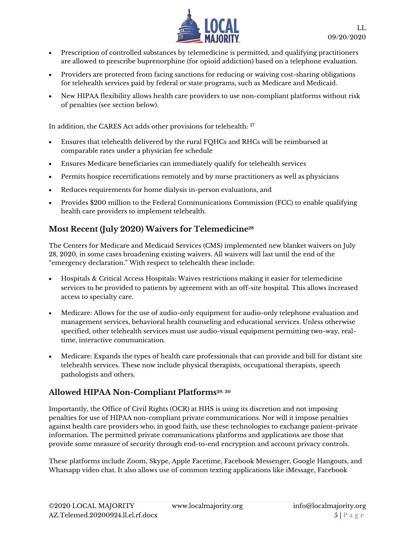

- Prescription of controlled substances by telemedicine is permitted, and qualifying practitioners are allowed to prescribe buprenorphine (for opioid addiction) based on a telephone evaluation.
- Providers are protected from facing sanctions for reducing or waiving cost-sharing obligations for telehealth services paid by federal or state programs, such as Medicare and Medicaid.
- New HIPAA flexibility allows health care providers to use non-compliant platforms without risk of penalties (see section below).

In addition, the CARES Act adds other provisions for telehealth: <sup>27</sup>

- Ensures that telehealth delivered by the rural FQHCs and RHCs will be reimbursed at comparable rates under a physician fee schedule
- Ensures Medicare beneficiaries can immediately qualify for telehealth services
- Permits hospice recertifications remotely and by nurse practitioners as well as physicians
- Reduces requirements for home dialysis in-person evaluations, and
- Provides \$200 million to the Federal Communications Commission (FCC) to enable qualifying health care providers to implement telehealth.

### **Most Recent (July 2020) Waivers for Telemedicine<sup>28</sup>**

The Centers for Medicare and Medicaid Services (CMS) implemented new blanket waivers on July 28, 2020, in some cases broadening existing waivers. All waivers will last until the end of the "emergency declaration." With respect to telehealth these include:

- Hospitals & Critical Access Hospitals: Waives restrictions making it easier for telemedicine services to be provided to patients by agreement with an off-site hospital. This allows increased access to specialty care.
- Medicare: Allows for the use of audio-only equipment for audio-only telephone evaluation and management services, behavioral health counseling and educational services. Unless otherwise specified, other telehealth services must use audio-visual equipment permitting two-way, realtime, interactive communication.
- Medicare: Expands the types of health care professionals that can provide and bill for distant site telehealth services. These now include physical therapists, occupational therapists, speech pathologists and others.

### **Allowed HIPAA Non-Compliant Platforms29, <sup>30</sup>**

Importantly, the Office of Civil Rights (OCR) at HHS is using its discretion and not imposing penalties for use of HIPAA non-compliant private communications. Nor will it impose penalties against health care providers who, in good faith, use these technologies to exchange patient-private information. The permitted private communications platforms and applications are those that provide some measure of security through end-to-end encryption and account privacy controls.

These platforms include Zoom, Skype, Apple Facetime, Facebook Messenger, Google Hangouts, and Whatsapp video chat. It also allows use of common texting applications like iMessage, Facebook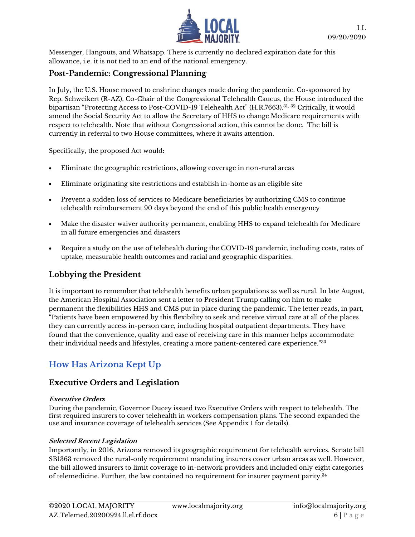

Messenger, Hangouts, and Whatsapp. There is currently no declared expiration date for this allowance, i.e. it is not tied to an end of the national emergency.

#### **Post-Pandemic: Congressional Planning**

In July, the U.S. House moved to enshrine changes made during the pandemic. Co-sponsored by Rep. Schweikert (R-AZ), Co-Chair of the Congressional Telehealth Caucus, the House introduced the bipartisan "Protecting Access to Post-COVID-19 Telehealth Act" (H.R.7663). $^{31,\,32}$  Critically, it would amend the Social Security Act to allow the Secretary of HHS to change Medicare requirements with respect to telehealth. Note that without Congressional action, this cannot be done. The bill is currently in referral to two House committees, where it awaits attention.

Specifically, the proposed Act would:

- Eliminate the geographic restrictions, allowing coverage in non-rural areas
- Eliminate originating site restrictions and establish in-home as an eligible site
- Prevent a sudden loss of services to Medicare beneficiaries by authorizing CMS to continue telehealth reimbursement 90 days beyond the end of this public health emergency
- Make the disaster waiver authority permanent, enabling HHS to expand telehealth for Medicare in all future emergencies and disasters
- Require a study on the use of telehealth during the COVID-19 pandemic, including costs, rates of uptake, measurable health outcomes and racial and geographic disparities.

### **Lobbying the President**

It is important to remember that telehealth benefits urban populations as well as rural. In late August, the American Hospital Association sent a letter to President Trump calling on him to make permanent the flexibilities HHS and CMS put in place during the pandemic. The letter reads, in part, "Patients have been empowered by this flexibility to seek and receive virtual care at all of the places they can currently access in-person care, including hospital outpatient departments. They have found that the convenience, quality and ease of receiving care in this manner helps accommodate their individual needs and lifestyles, creating a more patient-centered care experience."<sup>33</sup>

# **How Has Arizona Kept Up**

#### **Executive Orders and Legislation**

#### **Executive Orders**

During the pandemic, Governor Ducey issued two Executive Orders with respect to telehealth. The first required insurers to cover telehealth in workers compensation plans. The second expanded the use and insurance coverage of telehealth services (See Appendix 1 for details).

#### **Selected Recent Legislation**

Importantly, in 2016, Arizona removed its geographic requirement for telehealth services. Senate bill SB1363 removed the rural-only requirement mandating insurers cover urban areas as well. However, the bill allowed insurers to limit coverage to in-network providers and included only eight categories of telemedicine. Further, the law contained no requirement for insurer payment parity. $^{34}$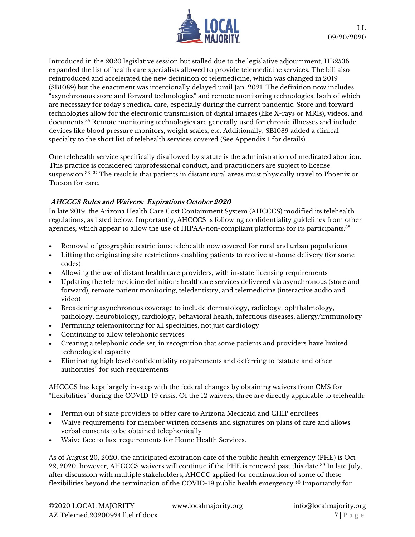

Introduced in the 2020 legislative session but stalled due to the legislative adjournment, HB2536 expanded the list of health care specialists allowed to provide telemedicine services. The bill also reintroduced and accelerated the new definition of telemedicine, which was changed in 2019 (SB1089) but the enactment was intentionally delayed until Jan. 2021. The definition now includes "asynchronous store and forward technologies" and remote monitoring technologies, both of which are necessary for today's medical care, especially during the current pandemic. Store and forward technologies allow for the electronic transmission of digital images (like X-rays or MRIs), videos, and documents.<sup>35</sup> Remote monitoring technologies are generally used for chronic illnesses and include devices like blood pressure monitors, weight scales, etc. Additionally, SB1089 added a clinical specialty to the short list of telehealth services covered (See Appendix 1 for details).

One telehealth service specifically disallowed by statute is the administration of medicated abortion. This practice is considered unprofessional conduct, and practitioners are subject to license suspension.36, <sup>37</sup> The result is that patients in distant rural areas must physically travel to Phoenix or Tucson for care.

#### **AHCCCS Rules and Waivers: Expirations October 2020**

In late 2019, the Arizona Health Care Cost Containment System (AHCCCS) modified its telehealth regulations, as listed below. Importantly, AHCCCS is following confidentiality guidelines from other agencies, which appear to allow the use of HIPAA-non-compliant platforms for its participants.<sup>38</sup>

- Removal of geographic restrictions: telehealth now covered for rural and urban populations
- Lifting the originating site restrictions enabling patients to receive at-home delivery (for some codes)
- Allowing the use of distant health care providers, with in-state licensing requirements
- Updating the telemedicine definition: healthcare services delivered via asynchronous (store and forward), remote patient monitoring, teledentistry, and telemedicine (interactive audio and video)
- Broadening asynchronous coverage to include dermatology, radiology, ophthalmology, pathology, neurobiology, cardiology, behavioral health, infectious diseases, allergy/immunology
- Permitting telemonitoring for all specialties, not just cardiology
- Continuing to allow telephonic services
- Creating a telephonic code set, in recognition that some patients and providers have limited technological capacity
- Eliminating high level confidentiality requirements and deferring to "statute and other authorities" for such requirements

AHCCCS has kept largely in-step with the federal changes by obtaining waivers from CMS for "flexibilities" during the COVID-19 crisis. Of the 12 waivers, three are directly applicable to telehealth:

- Permit out of state providers to offer care to Arizona Medicaid and CHIP enrollees
- Waive requirements for member written consents and signatures on plans of care and allows verbal consents to be obtained telephonically
- Waive face to face requirements for Home Health Services.

As of August 20, 2020, the anticipated expiration date of the public health emergency (PHE) is Oct 22, 2020; however, AHCCCS waivers will continue if the PHE is renewed past this date.<sup>39</sup> In late July, after discussion with multiple stakeholders, AHCCC applied for continuation of some of these flexibilities beyond the termination of the COVID-19 public health emergency.<sup>40</sup> Importantly for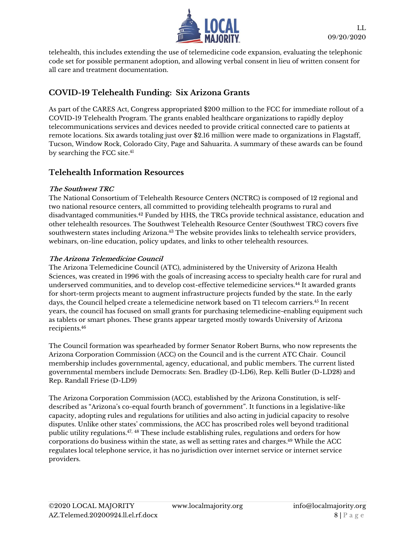

telehealth, this includes extending the use of telemedicine code expansion, evaluating the telephonic code set for possible permanent adoption, and allowing verbal consent in lieu of written consent for all care and treatment documentation.

### **COVID-19 Telehealth Funding: Six Arizona Grants**

As part of the CARES Act, Congress appropriated \$200 million to the FCC for immediate rollout of a COVID-19 Telehealth Program. The grants enabled healthcare organizations to rapidly deploy telecommunications services and devices needed to provide critical connected care to patients at remote locations. Six awards totaling just over \$2.16 million were made to organizations in Flagstaff, Tucson, Window Rock, Colorado City, Page and Sahuarita. A summary of these awards can be found by searching the FCC site.<sup>41</sup>

#### **Telehealth Information Resources**

#### **The Southwest TRC**

The National Consortium of Telehealth Resource Centers (NCTRC) is composed of 12 regional and two national resource centers, all committed to providing telehealth programs to rural and disadvantaged communities.<sup>42</sup> Funded by HHS, the TRCs provide technical assistance, education and other telehealth resources. The Southwest Telehealth Resource Center (Southwest TRC) covers five southwestern states including Arizona.<sup>43</sup> The website provides links to telehealth service providers, webinars, on-line education, policy updates, and links to other telehealth resources.

#### **The Arizona Telemedicine Council**

The Arizona Telemedicine Council (ATC), administered by the University of Arizona Health Sciences, was created in 1996 with the goals of increasing access to specialty health care for rural and underserved communities, and to develop cost-effective telemedicine services.<sup>44</sup> It awarded grants for short-term projects meant to augment infrastructure projects funded by the state. In the early days, the Council helped create a telemedicine network based on T1 telecom carriers.<sup>45</sup> In recent years, the council has focused on small grants for purchasing telemedicine-enabling equipment such as tablets or smart phones. These grants appear targeted mostly towards University of Arizona recipients. 46

The Council formation was spearheaded by former Senator Robert Burns, who now represents the Arizona Corporation Commission (ACC) on the Council and is the current ATC Chair. Council membership includes governmental, agency, educational, and public members. The current listed governmental members include Democrats: Sen. Bradley (D-LD6), Rep. Kelli Butler (D-LD28) and Rep. Randall Friese (D-LD9)

The Arizona Corporation Commission (ACC), established by the Arizona Constitution, is selfdescribed as "Arizona's co-equal fourth branch of government". It functions in a legislative-like capacity, adopting rules and regulations for utilities and also acting in judicial capacity to resolve disputes. Unlike other states' commissions, the ACC has proscribed roles well beyond traditional public utility regulations.47, <sup>48</sup> These include establishing rules, regulations and orders for how corporations do business within the state, as well as setting rates and charges. <sup>49</sup> While the ACC regulates local telephone service, it has no jurisdiction over internet service or internet service providers.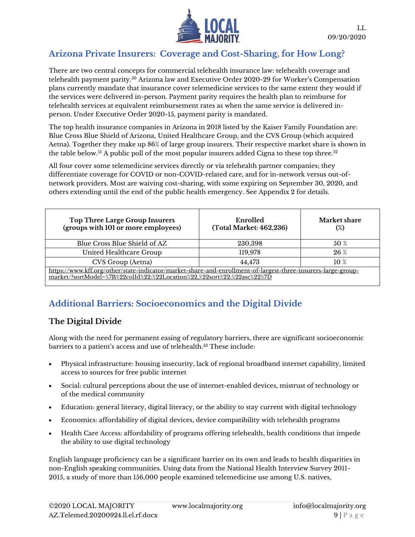

### **Arizona Private Insurers: Coverage and Cost-Sharing, for How Long?**

There are two central concepts for commercial telehealth insurance law: telehealth coverage and telehealth payment parity.<sup>50</sup> Arizona law and Executive Order 2020-29 for Worker's Compensation plans currently mandate that insurance cover telemedicine services to the same extent they would if the services were delivered in-person. Payment parity requires the health plan to reimburse for telehealth services at equivalent reimbursement rates as when the same service is delivered inperson. Under Executive Order 2020-15, payment parity is mandated.

The top health insurance companies in Arizona in 2018 listed by the Kaiser Family Foundation are: Blue Cross Blue Shield of Arizona, United Healthcare Group, and the CVS Group (which acquired Aetna). Together they make up 86% of large group insurers. Their respective market share is shown in the table below.<sup>51</sup> A public poll of the most popular insurers added Cigna to these top three.<sup>52</sup>

All four cover some telemedicine services directly or via telehealth partner companies; they differentiate coverage for COVID or non-COVID-related care, and for in-network versus out-ofnetwork providers. Most are waiving cost-sharing, with some expiring on September 30, 2020, and others extending until the end of the public health emergency. See Appendix 2 for details.

| <b>Top Three Large Group Insurers</b><br>(groups with 101 or more employees)                                                                                                            | Enrolled<br>(Total Market: 462,236) | <b>Market share</b><br>$(\%)$ |  |
|-----------------------------------------------------------------------------------------------------------------------------------------------------------------------------------------|-------------------------------------|-------------------------------|--|
| Blue Cross Blue Shield of AZ                                                                                                                                                            | 230,398                             | 50 %                          |  |
| United Healthcare Group                                                                                                                                                                 | 119,978                             | 26%                           |  |
| CVS Group (Aetna)                                                                                                                                                                       | 44,473                              | $10\%$                        |  |
| https://www.kff.org/other/state-indicator/market-share-and-enrollment-of-largest-three-insurers-large-group-<br>market/?sortModel=%7B%22colId%22:%22Location%22.%22sort%22:%22asc%22%7D |                                     |                               |  |

# **Additional Barriers: Socioeconomics and the Digital Divide**

### **The Digital Divide**

Along with the need for permanent easing of regulatory barriers, there are significant socioeconomic barriers to a patient's access and use of telehealth.<sup>53</sup> These include:

- Physical infrastructure: housing insecurity, lack of regional broadband internet capability, limited access to sources for free public internet
- Social: cultural perceptions about the use of internet-enabled devices, mistrust of technology or of the medical community
- Education: general literacy, digital literacy, or the ability to stay current with digital technology
- Economics: affordability of digital devices, device compatibility with telehealth programs
- Health Care Access: affordability of programs offering telehealth, health conditions that impede the ability to use digital technology

English language proficiency can be a significant barrier on its own and leads to health disparities in non-English speaking communities. Using data from the National Health Interview Survey 2011- 2015, a study of more than 156,000 people examined telemedicine use among U.S. natives,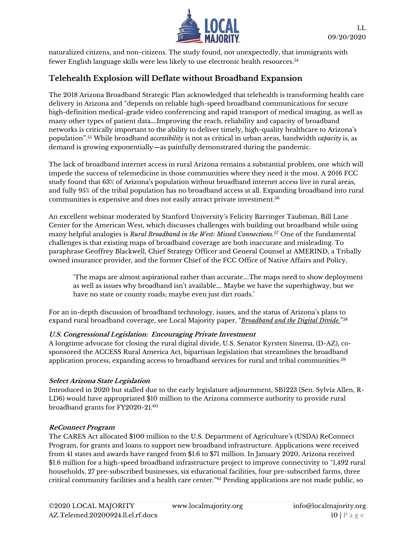

naturalized citizens, and non-citizens. The study found, not unexpectedly, that immigrants with fewer English language skills were less likely to use electronic health resources.<sup>54</sup>

### **Telehealth Explosion will Deflate without Broadband Expansion**

The 2018 Arizona Broadband Strategic Plan acknowledged that telehealth is transforming health care delivery in Arizona and "depends on reliable high-speed broadband communications for secure high-definition medical-grade video conferencing and rapid transport of medical imaging, as well as many other types of patient data….Improving the reach, reliability and capacity of broadband networks is critically important to the ability to deliver timely, high-quality healthcare to Arizona's population".<sup>55</sup> While broadband *accessibility* is not as critical in urban areas, bandwidth *capacity* is, as demand is growing exponentially—as painfully demonstrated during the pandemic.

The lack of broadband internet access in rural Arizona remains a substantial problem, one which will impede the success of telemedicine in those communities where they need it the most. A 2016 FCC study found that 63% of Arizona's population without broadband internet access live in rural areas, and fully 95% of the tribal population has no broadband access at all. Expanding broadband into rural communities is expensive and does not easily attract private investment. $^{56}$ 

An excellent webinar moderated by Stanford University's Felicity Barringer Taubman, Bill Lane Center for the American West, which discusses challenges with building out broadband while using many helpful analogies is *Rural Broadband in the West: Missed Connections. <sup>57</sup>* One of the fundamental challenges is that existing maps of broadband coverage are both inaccurate and misleading. To paraphrase Geoffrey Blackwell, Chief Strategy Officer and General Counsel at AMERIND, a Tribally owned insurance provider, and the former Chief of the FCC Office of Native Affairs and Policy,

'The maps are almost aspirational rather than accurate….The maps need to show deployment as well as issues why broadband isn't available…. Maybe we have the superhighway, but we have no state or county roads; maybe even just dirt roads.'

For an in-depth discussion of broadband technology, issues, and the status of Arizona's plans to expand rural broadband coverage, see Local Majority paper, "*[Broadband and the Digital Divide.](https://www.localmajority.org/research-reports/#AZ_Broadband)*" 58

#### **U.S. Congressional Legislation: Encouraging Private Investment**

A longtime advocate for closing the rural digital divide, U.S. Senator Kyrsten Sinema, (D-AZ), cosponsored the ACCESS Rural America Act, bipartisan legislation that streamlines the broadband application process, expanding access to broadband services for rural and tribal communities.<sup>59</sup>

#### **Select Arizona State Legislation**

Introduced in 2020 but stalled due to the early legislature adjournment, SB1223 (Sen. Sylvia Allen, R-LD6) would have appropriated \$10 million to the Arizona commerce authority to provide rural broadband grants for FY2020-21.<sup>60</sup>

#### **ReConnect Program**

The CARES Act allocated \$100 million to the U.S. Department of Agriculture's (USDA) ReConnect Program, for grants and loans to support new broadband infrastructure. Applications were received from 41 states and awards have ranged from \$1.6 to \$71 million. In January 2020, Arizona received \$1.6 million for a high-speed broadband infrastructure project to improve connectivity to "1,492 rural households, 27 pre-subscribed businesses, six educational facilities, four pre-subscribed farms, three critical community facilities and a health care center."<sup>61</sup> Pending applications are not made public, so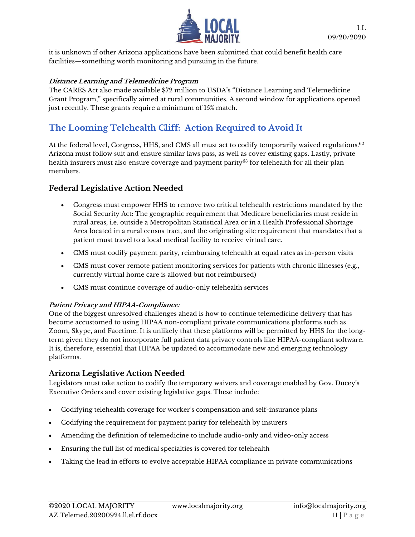

it is unknown if other Arizona applications have been submitted that could benefit health care facilities—something worth monitoring and pursuing in the future.

#### **Distance Learning and Telemedicine Program**

The CARES Act also made available \$72 million to USDA's "Distance Learning and Telemedicine Grant Program," specifically aimed at rural communities. A second window for applications opened just recently. These grants require a minimum of 15% match.

# **The Looming Telehealth Cliff: Action Required to Avoid It**

At the federal level, Congress, HHS, and CMS all must act to codify temporarily waived regulations. 62 Arizona must follow suit and ensure similar laws pass, as well as cover existing gaps. Lastly, private health insurers must also ensure coverage and payment parity<sup>63</sup> for telehealth for all their plan members.

#### **Federal Legislative Action Needed**

- Congress must empower HHS to remove two critical telehealth restrictions mandated by the Social Security Act: The geographic requirement that Medicare beneficiaries must reside in rural areas, i.e. outside a Metropolitan Statistical Area or in a Health Professional Shortage Area located in a rural census tract, and the originating site requirement that mandates that a patient must travel to a local medical facility to receive virtual care.
- CMS must codify payment parity, reimbursing telehealth at equal rates as in-person visits
- CMS must cover remote patient monitoring services for patients with chronic illnesses (e.g., currently virtual home care is allowed but not reimbursed)
- CMS must continue coverage of audio-only telehealth services

#### **Patient Privacy and HIPAA-Compliance:**

One of the biggest unresolved challenges ahead is how to continue telemedicine delivery that has become accustomed to using HIPAA non-compliant private communications platforms such as Zoom, Skype, and Facetime. It is unlikely that these platforms will be permitted by HHS for the longterm given they do not incorporate full patient data privacy controls like HIPAA-compliant software. It is, therefore, essential that HIPAA be updated to accommodate new and emerging technology platforms.

#### **Arizona Legislative Action Needed**

Legislators must take action to codify the temporary waivers and coverage enabled by Gov. Ducey's Executive Orders and cover existing legislative gaps. These include:

- Codifying telehealth coverage for worker's compensation and self-insurance plans
- Codifying the requirement for payment parity for telehealth by insurers
- Amending the definition of telemedicine to include audio-only and video-only access
- Ensuring the full list of medical specialties is covered for telehealth
- Taking the lead in efforts to evolve acceptable HIPAA compliance in private communications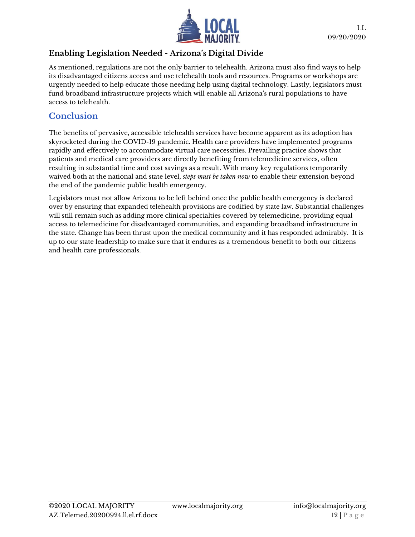

### **Enabling Legislation Needed - Arizona's Digital Divide**

As mentioned, regulations are not the only barrier to telehealth. Arizona must also find ways to help its disadvantaged citizens access and use telehealth tools and resources. Programs or workshops are urgently needed to help educate those needing help using digital technology. Lastly, legislators must fund broadband infrastructure projects which will enable all Arizona's rural populations to have access to telehealth.

### **Conclusion**

The benefits of pervasive, accessible telehealth services have become apparent as its adoption has skyrocketed during the COVID-19 pandemic. Health care providers have implemented programs rapidly and effectively to accommodate virtual care necessities. Prevailing practice shows that patients and medical care providers are directly benefiting from telemedicine services, often resulting in substantial time and cost savings as a result. With many key regulations temporarily waived both at the national and state level, *steps must be taken now* to enable their extension beyond the end of the pandemic public health emergency.

Legislators must not allow Arizona to be left behind once the public health emergency is declared over by ensuring that expanded telehealth provisions are codified by state law. Substantial challenges will still remain such as adding more clinical specialties covered by telemedicine, providing equal access to telemedicine for disadvantaged communities, and expanding broadband infrastructure in the state. Change has been thrust upon the medical community and it has responded admirably. It is up to our state leadership to make sure that it endures as a tremendous benefit to both our citizens and health care professionals.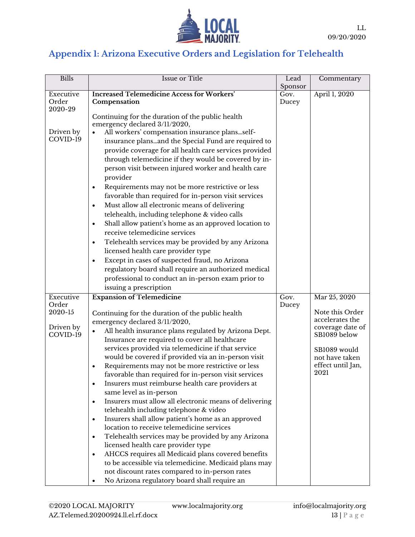

# **Appendix 1: Arizona Executive Orders and Legislation for Telehealth**

| <b>Bills</b>          | <b>Issue or Title</b>                                                                                   | Lead            | Commentary                          |
|-----------------------|---------------------------------------------------------------------------------------------------------|-----------------|-------------------------------------|
| Executive             | <b>Increased Telemedicine Access for Workers'</b>                                                       | Sponsor<br>Gov. | April 1, 2020                       |
| Order                 | Compensation                                                                                            | Ducey           |                                     |
| 2020-29               |                                                                                                         |                 |                                     |
|                       | Continuing for the duration of the public health                                                        |                 |                                     |
|                       | emergency declared 3/11/2020,                                                                           |                 |                                     |
| Driven by<br>COVID-19 | All workers' compensation insurance plansself-                                                          |                 |                                     |
|                       | insurance plansand the Special Fund are required to                                                     |                 |                                     |
|                       | provide coverage for all health care services provided                                                  |                 |                                     |
|                       | through telemedicine if they would be covered by in-                                                    |                 |                                     |
|                       | person visit between injured worker and health care                                                     |                 |                                     |
|                       | provider                                                                                                |                 |                                     |
|                       | Requirements may not be more restrictive or less<br>$\bullet$                                           |                 |                                     |
|                       | favorable than required for in-person visit services                                                    |                 |                                     |
|                       | Must allow all electronic means of delivering<br>$\bullet$                                              |                 |                                     |
|                       | telehealth, including telephone & video calls                                                           |                 |                                     |
|                       | Shall allow patient's home as an approved location to<br>$\bullet$                                      |                 |                                     |
|                       | receive telemedicine services                                                                           |                 |                                     |
|                       | Telehealth services may be provided by any Arizona<br>$\bullet$                                         |                 |                                     |
|                       | licensed health care provider type                                                                      |                 |                                     |
|                       | Except in cases of suspected fraud, no Arizona<br>$\bullet$                                             |                 |                                     |
|                       | regulatory board shall require an authorized medical                                                    |                 |                                     |
|                       | professional to conduct an in-person exam prior to                                                      |                 |                                     |
|                       | issuing a prescription                                                                                  |                 |                                     |
| Executive             | <b>Expansion of Telemedicine</b>                                                                        | Gov.            | Mar 25, 2020                        |
| Order                 |                                                                                                         | Ducey           |                                     |
| 2020-15               | Continuing for the duration of the public health                                                        |                 | Note this Order<br>accelerates the  |
| Driven by             | emergency declared 3/11/2020,                                                                           |                 | coverage date of                    |
| COVID-19              | All health insurance plans regulated by Arizona Dept.                                                   |                 | SB1089 below                        |
|                       | Insurance are required to cover all healthcare                                                          |                 |                                     |
|                       | services provided via telemedicine if that service                                                      |                 | SB1089 would                        |
|                       | would be covered if provided via an in-person visit<br>Requirements may not be more restrictive or less |                 | not have taken<br>effect until Jan, |
|                       | ٠<br>favorable than required for in-person visit services                                               |                 | 2021                                |
|                       | Insurers must reimburse health care providers at                                                        |                 |                                     |
|                       | $\bullet$<br>same level as in-person                                                                    |                 |                                     |
|                       | Insurers must allow all electronic means of delivering<br>$\bullet$                                     |                 |                                     |
|                       | telehealth including telephone & video                                                                  |                 |                                     |
|                       | Insurers shall allow patient's home as an approved<br>$\bullet$                                         |                 |                                     |
|                       | location to receive telemedicine services                                                               |                 |                                     |
|                       | Telehealth services may be provided by any Arizona<br>$\bullet$                                         |                 |                                     |
|                       | licensed health care provider type                                                                      |                 |                                     |
|                       | AHCCS requires all Medicaid plans covered benefits<br>$\bullet$                                         |                 |                                     |
|                       | to be accessible via telemedicine. Medicaid plans may                                                   |                 |                                     |
|                       | not discount rates compared to in-person rates                                                          |                 |                                     |
|                       | No Arizona regulatory board shall require an<br>$\bullet$                                               |                 |                                     |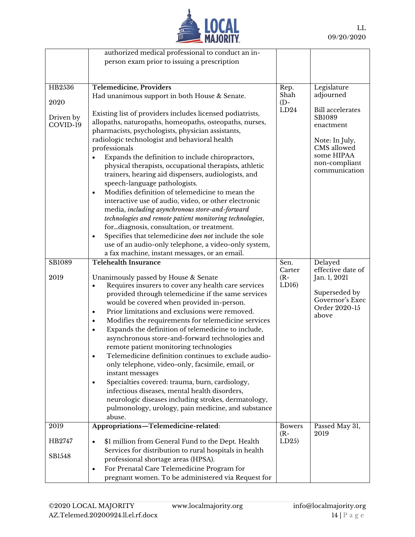

|           | authorized medical professional to conduct an in-                                                             |                  |                                          |
|-----------|---------------------------------------------------------------------------------------------------------------|------------------|------------------------------------------|
|           | person exam prior to issuing a prescription                                                                   |                  |                                          |
|           |                                                                                                               |                  |                                          |
|           |                                                                                                               |                  |                                          |
| HB2536    | <b>Telemedicine, Providers</b>                                                                                | Rep.             | Legislature                              |
|           | Had unanimous support in both House & Senate.                                                                 | Shah             | adjourned                                |
| 2020      |                                                                                                               | $(D -$<br>LD24   |                                          |
| Driven by | Existing list of providers includes licensed podiatrists,                                                     |                  | <b>Bill</b> accelerates<br><b>SB1089</b> |
| COVID-19  | allopaths, naturopaths, homeopaths, osteopaths, nurses,                                                       |                  | enactment                                |
|           | pharmacists, psychologists, physician assistants,                                                             |                  |                                          |
|           | radiologic technologist and behavioral health                                                                 |                  | Note: In July,                           |
|           | professionals                                                                                                 |                  | CMS allowed                              |
|           | Expands the definition to include chiropractors,                                                              |                  | some HIPAA                               |
|           | physical therapists, occupational therapists, athletic                                                        |                  | non-compliant<br>communication           |
|           | trainers, hearing aid dispensers, audiologists, and                                                           |                  |                                          |
|           | speech-language pathologists.                                                                                 |                  |                                          |
|           | Modifies definition of telemedicine to mean the<br>$\bullet$                                                  |                  |                                          |
|           | interactive use of audio, video, or other electronic                                                          |                  |                                          |
|           | media, including asynchronous store-and-forward                                                               |                  |                                          |
|           | technologies and remote patient monitoring technologies,                                                      |                  |                                          |
|           | fordiagnosis, consultation, or treatment.                                                                     |                  |                                          |
|           | Specifies that telemedicine does not include the sole<br>$\bullet$                                            |                  |                                          |
|           | use of an audio-only telephone, a video-only system,                                                          |                  |                                          |
|           | a fax machine, instant messages, or an email.                                                                 |                  |                                          |
| SB1089    | <b>Telehealth Insurance</b>                                                                                   | Sen.             | Delayed                                  |
| 2019      | Unanimously passed by House & Senate                                                                          | Carter<br>$(R -$ | effective date of<br>Jan. 1, 2021        |
|           | Requires insurers to cover any health care services<br>٠                                                      | LD16             |                                          |
|           | provided through telemedicine if the same services                                                            |                  | Superseded by                            |
|           | would be covered when provided in-person.                                                                     |                  | Governor's Exec                          |
|           | Prior limitations and exclusions were removed.<br>٠                                                           |                  | Order 2020-15                            |
|           | Modifies the requirements for telemedicine services<br>$\bullet$                                              |                  | above                                    |
|           | Expands the definition of telemedicine to include,<br>$\bullet$                                               |                  |                                          |
|           | asynchronous store-and-forward technologies and                                                               |                  |                                          |
|           | remote patient monitoring technologies                                                                        |                  |                                          |
|           | Telemedicine definition continues to exclude audio-<br>$\bullet$                                              |                  |                                          |
|           | only telephone, video-only, facsimile, email, or                                                              |                  |                                          |
|           | instant messages                                                                                              |                  |                                          |
|           | Specialties covered: trauma, burn, cardiology,<br>٠                                                           |                  |                                          |
|           | infectious diseases, mental health disorders,                                                                 |                  |                                          |
|           | neurologic diseases including strokes, dermatology,                                                           |                  |                                          |
|           | pulmonology, urology, pain medicine, and substance                                                            |                  |                                          |
|           | abuse.                                                                                                        |                  |                                          |
| 2019      | Appropriations-Telemedicine-related:                                                                          | <b>Bowers</b>    | Passed May 31,                           |
|           |                                                                                                               | $(R -$           | 2019                                     |
| HB2747    |                                                                                                               |                  |                                          |
|           | \$1 million from General Fund to the Dept. Health<br>$\bullet$                                                | LD25             |                                          |
|           | Services for distribution to rural hospitals in health                                                        |                  |                                          |
| SB1548    | professional shortage areas (HPSA).                                                                           |                  |                                          |
|           | For Prenatal Care Telemedicine Program for<br>$\bullet$<br>pregnant women. To be administered via Request for |                  |                                          |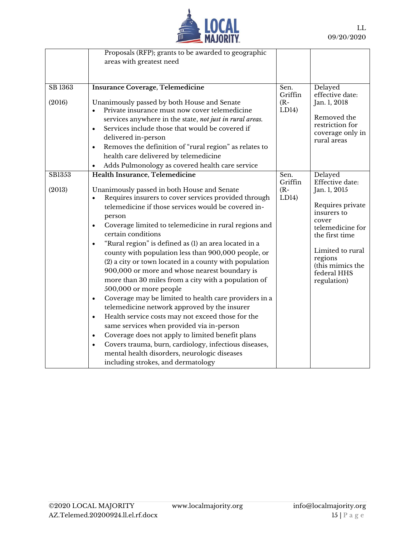

|                   | Proposals (RFP); grants to be awarded to geographic                                                                                                                                                                                                                                                                                                                                                                                                                                                                                                                                                                                                                                                                                                                                                                                                                                                                                                                                                     |                                    |                                                                                                                                                                                                               |
|-------------------|---------------------------------------------------------------------------------------------------------------------------------------------------------------------------------------------------------------------------------------------------------------------------------------------------------------------------------------------------------------------------------------------------------------------------------------------------------------------------------------------------------------------------------------------------------------------------------------------------------------------------------------------------------------------------------------------------------------------------------------------------------------------------------------------------------------------------------------------------------------------------------------------------------------------------------------------------------------------------------------------------------|------------------------------------|---------------------------------------------------------------------------------------------------------------------------------------------------------------------------------------------------------------|
|                   | areas with greatest need                                                                                                                                                                                                                                                                                                                                                                                                                                                                                                                                                                                                                                                                                                                                                                                                                                                                                                                                                                                |                                    |                                                                                                                                                                                                               |
|                   |                                                                                                                                                                                                                                                                                                                                                                                                                                                                                                                                                                                                                                                                                                                                                                                                                                                                                                                                                                                                         |                                    |                                                                                                                                                                                                               |
|                   |                                                                                                                                                                                                                                                                                                                                                                                                                                                                                                                                                                                                                                                                                                                                                                                                                                                                                                                                                                                                         |                                    |                                                                                                                                                                                                               |
| SB 1363<br>(2016) | <b>Insurance Coverage, Telemedicine</b><br>Unanimously passed by both House and Senate<br>Private insurance must now cover telemedicine                                                                                                                                                                                                                                                                                                                                                                                                                                                                                                                                                                                                                                                                                                                                                                                                                                                                 | Sen.<br>Griffin<br>$(R -$<br>LD14) | Delayed<br>effective date:<br>Jan. 1, 2018<br>Removed the                                                                                                                                                     |
|                   | services anywhere in the state, not just in rural areas.<br>Services include those that would be covered if<br>$\bullet$<br>delivered in-person<br>Removes the definition of "rural region" as relates to<br>$\bullet$<br>health care delivered by telemedicine<br>Adds Pulmonology as covered health care service                                                                                                                                                                                                                                                                                                                                                                                                                                                                                                                                                                                                                                                                                      |                                    | restriction for<br>coverage only in<br>rural areas                                                                                                                                                            |
| SB1353<br>(2013)  | Health Insurance, Telemedicine<br>Unanimously passed in both House and Senate<br>Requires insurers to cover services provided through<br>telemedicine if those services would be covered in-<br>person<br>Coverage limited to telemedicine in rural regions and<br>$\bullet$<br>certain conditions<br>"Rural region" is defined as (1) an area located in a<br>$\bullet$<br>county with population less than 900,000 people, or<br>(2) a city or town located in a county with population<br>900,000 or more and whose nearest boundary is<br>more than 30 miles from a city with a population of<br>500,000 or more people<br>Coverage may be limited to health care providers in a<br>$\bullet$<br>telemedicine network approved by the insurer<br>Health service costs may not exceed those for the<br>$\bullet$<br>same services when provided via in-person<br>Coverage does not apply to limited benefit plans<br>$\bullet$<br>Covers trauma, burn, cardiology, infectious diseases,<br>$\bullet$ | Sen.<br>Griffin<br>$(R -$<br>LD14) | Delayed<br>Effective date:<br>Jan. 1, 2015<br>Requires private<br>insurers to<br>cover<br>telemedicine for<br>the first time<br>Limited to rural<br>regions<br>(this mimics the<br>federal HHS<br>regulation) |
|                   | mental health disorders, neurologic diseases<br>including strokes, and dermatology                                                                                                                                                                                                                                                                                                                                                                                                                                                                                                                                                                                                                                                                                                                                                                                                                                                                                                                      |                                    |                                                                                                                                                                                                               |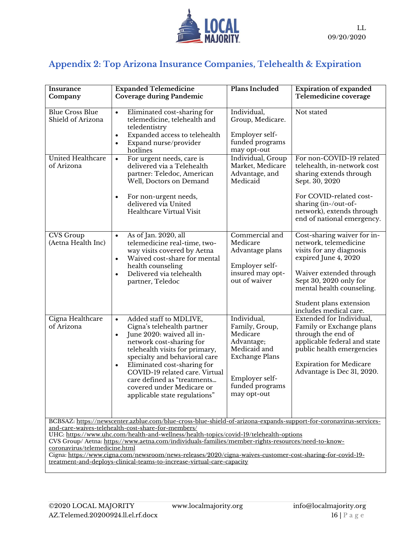

# **Appendix 2: Top Arizona Insurance Companies, Telehealth & Expiration**

| Insurance<br>Company                                                                                                                                                                                                                                                                                                                                                                                                                                                                                                                                                                           | <b>Expanded Telemedicine</b><br><b>Coverage during Pandemic</b>                                                                                                                                                                                                                                                                                                                       | Plans Included                                                                                                                                       | <b>Expiration of expanded</b><br>Telemedicine coverage                                                                                                                                                                                          |
|------------------------------------------------------------------------------------------------------------------------------------------------------------------------------------------------------------------------------------------------------------------------------------------------------------------------------------------------------------------------------------------------------------------------------------------------------------------------------------------------------------------------------------------------------------------------------------------------|---------------------------------------------------------------------------------------------------------------------------------------------------------------------------------------------------------------------------------------------------------------------------------------------------------------------------------------------------------------------------------------|------------------------------------------------------------------------------------------------------------------------------------------------------|-------------------------------------------------------------------------------------------------------------------------------------------------------------------------------------------------------------------------------------------------|
| <b>Blue Cross Blue</b><br>Shield of Arizona                                                                                                                                                                                                                                                                                                                                                                                                                                                                                                                                                    | Eliminated cost-sharing for<br>$\bullet$<br>telemedicine, telehealth and<br>teledentistry<br>Expanded access to telehealth<br>$\bullet$<br>Expand nurse/provider<br>hotlines                                                                                                                                                                                                          | Individual,<br>Group, Medicare.<br>Employer self-<br>funded programs<br>may opt-out                                                                  | Not stated                                                                                                                                                                                                                                      |
| United Healthcare<br>of Arizona                                                                                                                                                                                                                                                                                                                                                                                                                                                                                                                                                                | For urgent needs, care is<br>$\bullet$<br>delivered via a Telehealth<br>partner: Teledoc, American<br>Well, Doctors on Demand<br>For non-urgent needs,<br>$\bullet$<br>delivered via United<br>Healthcare Virtual Visit                                                                                                                                                               | Individual, Group<br>Market, Medicare<br>Advantage, and<br>Medicaid                                                                                  | For non-COVID-19 related<br>telehealth, in-network cost<br>sharing extends through<br>Sept. 30, 2020<br>For COVID-related cost-<br>sharing (in-/out-of-<br>network), extends through<br>end of national emergency.                              |
| <b>CVS</b> Group<br>(Aetna Health Inc)                                                                                                                                                                                                                                                                                                                                                                                                                                                                                                                                                         | As of Jan. 2020, all<br>$\bullet$<br>telemedicine real-time, two-<br>way visits covered by Aetna<br>Waived cost-share for mental<br>$\bullet$<br>health counseling<br>Delivered via telehealth<br>partner, Teledoc                                                                                                                                                                    | Commercial and<br>Medicare<br>Advantage plans<br>Employer self-<br>insured may opt-<br>out of waiver                                                 | Cost-sharing waiver for in-<br>network, telemedicine<br>visits for any diagnosis<br>expired June 4, 2020<br>Waiver extended through<br>Sept 30, 2020 only for<br>mental health counseling.<br>Student plans extension<br>includes medical care. |
| Cigna Healthcare<br>of Arizona                                                                                                                                                                                                                                                                                                                                                                                                                                                                                                                                                                 | Added staff to MDLIVE,<br>$\bullet$<br>Cigna's telehealth partner<br>June 2020: waived all in-<br>$\bullet$<br>network cost-sharing for<br>telehealth visits for primary,<br>specialty and behavioral care<br>Eliminated cost-sharing for<br>$\bullet$<br>COVID-19 related care. Virtual<br>care defined as "treatments<br>covered under Medicare or<br>applicable state regulations" | Individual,<br>Family, Group,<br>Medicare<br>Advantage;<br>Medicaid and<br><b>Exchange Plans</b><br>Employer self-<br>funded programs<br>may opt-out | Extended for Individual,<br>Family or Exchange plans<br>through the end of<br>applicable federal and state<br>public health emergencies<br><b>Expiration for Medicare</b><br>Advantage is Dec 31, 2020.                                         |
| BCBSAZ: https://newscenter.azblue.com/blue-cross-blue-shield-of-arizona-expands-support-for-coronavirus-services-<br>and-care-waives-telehealth-cost-share-for-members/<br>UHC: https://www.uhc.com/health-and-wellness/health-topics/covid-19/telehealth-options<br>CVS Group/Aetna: https://www.aetna.com/individuals-families/member-rights-resources/need-to-know-<br>coronavirus/telemedicine.html<br>Cigna: https://www.cigna.com/newsroom/news-releases/2020/cigna-waives-customer-cost-sharing-for-covid-19-<br>treatment-and-deploys-clinical-teams-to-increase-virtual-care-capacity |                                                                                                                                                                                                                                                                                                                                                                                       |                                                                                                                                                      |                                                                                                                                                                                                                                                 |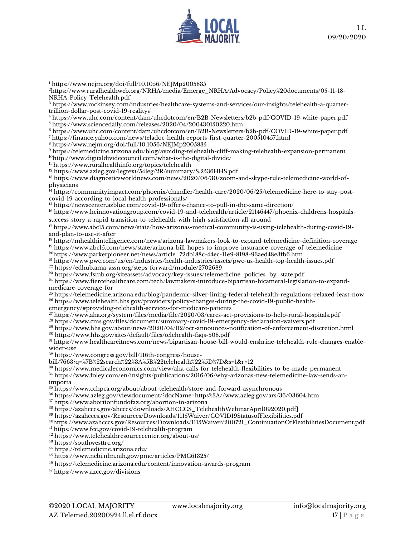

<https://www.nejm.org/doi/full/10.1056/NEJMp2005835>

<https://www.sciencedaily.com/releases/2020/04/200430150220.htm>

<https://www.uhc.com/content/dam/uhcdotcom/en/B2B-Newsletters/b2b-pdf/COVID-19-white-paper.pdf>

<https://finance.yahoo.com/news/teladoc-health-reports-first-quarter-200510457.html>

<https://www.nejm.org/doi/full/10.1056/NEJMp2005835>

 <https://telemedicine.arizona.edu/blog/avoiding-telehealth-cliff-making-telehealth-expansion-permanent> <http://www.digitaldividecouncil.com/what-is-the-digital-divide/>

<https://www.ruralhealthinfo.org/topics/telehealth>

<https://www.azleg.gov/legtext/54leg/2R/summary/S.2536HHS.pdf>

 [https://www.diagnosticsworldnews.com/news/2020/06/30/zoom-and-skype-rule-telemedicine-world-of](https://www.diagnosticsworldnews.com/news/2020/06/30/zoom-and-skype-rule-telemedicine-world-of-physicians)[physicians](https://www.diagnosticsworldnews.com/news/2020/06/30/zoom-and-skype-rule-telemedicine-world-of-physicians)

 [https://communityimpact.com/phoenix/chandler/health-care/2020/06/25/telemedicine-here-to-stay-post](https://communityimpact.com/phoenix/chandler/health-care/2020/06/25/telemedicine-here-to-stay-post-covid-19-according-to-local-health-professionals/)[covid-19-according-to-local-health-professionals/](https://communityimpact.com/phoenix/chandler/health-care/2020/06/25/telemedicine-here-to-stay-post-covid-19-according-to-local-health-professionals/)

<sup>15</sup> <https://newscenter.azblue.com/covid-19-offers-chance-to-pull-in-the-same-direction/>

 [https://www.hcinnovationgroup.com/covid-19-and-telehealth/article/21146447/phoenix-childrens-hospitals](https://www.hcinnovationgroup.com/covid-19-and-telehealth/article/21146447/phoenix-childrens-hospitals-success-story-a-rapid-transition-to-telehealth-with-high-satisfaction-all-around)[success-story-a-rapid-transition-to-telehealth-with-high-satisfaction-all-around](https://www.hcinnovationgroup.com/covid-19-and-telehealth/article/21146447/phoenix-childrens-hospitals-success-story-a-rapid-transition-to-telehealth-with-high-satisfaction-all-around)

 [https://www.abc15.com/news/state/how-arizonas-medical-community-is-using-telehealth-during-covid-19](https://www.abc15.com/news/state/how-arizonas-medical-community-is-using-telehealth-during-covid-19-and-plan-to-use-it-after) [and-plan-to-use-it-after](https://www.abc15.com/news/state/how-arizonas-medical-community-is-using-telehealth-during-covid-19-and-plan-to-use-it-after)

<https://mhealthintelligence.com/news/arizona-lawmakers-look-to-expand-telemedicine-definition-coverage>

 https://www.abc15.com/news/state/arizona-bill-hopes-to-improve-insurance-coverage-of-telemedicine [https://www.parkerpioneer.net/news/article\\_72db188c-44ec-11e9-8198-93aed48e3fb6.htm](https://www.parkerpioneer.net/news/article_72db188c-44ec-11e9-8198-93aed48e3fb6.htm)

<https://www.pwc.com/us/en/industries/health-industries/assets/pwc-us-health-top-health-issues.pdf>

<https://edhub.ama-assn.org/steps-forward/module/2702689>

[https://www.fsmb.org/siteassets/advocacy/key-issues/telemedicine\\_policies\\_by\\_state.pdf](https://www.fsmb.org/siteassets/advocacy/key-issues/telemedicine_policies_by_state.pdf)

 [https://www.fiercehealthcare.com/tech/lawmakers-introduce-bipartisan-bicameral-legislation-to-expand](https://www.fiercehealthcare.com/tech/lawmakers-introduce-bipartisan-bicameral-legislation-to-expand-medicare-coverage-for)[medicare-coverage-for](https://www.fiercehealthcare.com/tech/lawmakers-introduce-bipartisan-bicameral-legislation-to-expand-medicare-coverage-for)

 <https://telemedicine.arizona.edu/blog/pandemic-silver-lining-federal-telehealth-regulations-relaxed-least-now> [https://www.telehealth.hhs.gov/providers/policy-changes-during-the-covid-19-public-health-](https://www.telehealth.hhs.gov/providers/policy-changes-during-the-covid-19-public-health-emergency/#providing-telehealth-services-for-medicare-patients)

[emergency/#providing-telehealth-services-for-medicare-patients](https://www.telehealth.hhs.gov/providers/policy-changes-during-the-covid-19-public-health-emergency/#providing-telehealth-services-for-medicare-patients)

<https://www.aha.org/system/files/media/file/2020/03/cares-act-provisions-to-help-rural-hospitals.pdf>

<https://www.cms.gov/files/document/summary-covid-19-emergency-declaration-waivers.pdf>

<https://www.hhs.gov/about/news/2020/04/02/ocr-announces-notification-of-enforcement-discretion.html>

<https://www.hhs.gov/sites/default/files/telehealth-faqs-508.pdf>

 [https://www.healthcareitnews.com/news/bipartisan-house-bill-would-enshrine-telehealth-rule-changes-enable](https://www.healthcareitnews.com/news/bipartisan-house-bill-would-enshrine-telehealth-rule-changes-enable-wider-use)[wider-use](https://www.healthcareitnews.com/news/bipartisan-house-bill-would-enshrine-telehealth-rule-changes-enable-wider-use)

https://www.congress.gov/bill/116th-congress/house-

bill/7663?q=%7B%22search%22%3A%5B%22telehealth%22%5D%7D&s=1&r=12

<https://www.medicaleconomics.com/view/aha-calls-for-telehealth-flexibilities-to-be-made-permanent>

 [https://www.foley.com/en/insights/publications/2016/06/why-arizonas-new-telemedicine-law-sends-an](https://www.foley.com/en/insights/publications/2016/06/why-arizonas-new-telemedicine-law-sends-an-importa)[importa](https://www.foley.com/en/insights/publications/2016/06/why-arizonas-new-telemedicine-law-sends-an-importa)

<https://www.cchpca.org/about/about-telehealth/store-and-forward-asynchronous>

<https://www.azleg.gov/viewdocument/?docName=https%3A//www.azleg.gov/ars/36/03604.htm>

<https://www.abortionfundofaz.org/abortion-in-arizona>

[https://azahcccs.gov/ahcccs/downloads/AHCCCS\\_TelehealthWebinarApril092020.pdf\]](https://azahcccs.gov/ahcccs/downloads/AHCCCS_TelehealthWebinarApril092020.pdf)

<https://azahcccs.gov/Resources/Downloads/1115Waiver/COVID19StatusofFlexibilities.pdf>

[https://www.azahcccs.gov/Resources/Downloads/1115Waiver/200721\\_ContinuationOfFlexibilitiesDocument.pdf](https://www.azahcccs.gov/Resources/Downloads/1115Waiver/200721_ContinuationOfFlexibilitiesDocument.pdf)

<https://www.fcc.gov/covid-19-telehealth-program>

<https://www.telehealthresourcecenter.org/about-us/>

<https://southwesttrc.org/>

<https://telemedicine.arizona.edu/>

<https://www.ncbi.nlm.nih.gov/pmc/articles/PMC61325/>

<https://telemedicine.arizona.edu/content/innovation-awards-program>

<https://www.azcc.gov/divisions>

[https://www.ruralhealthweb.org/NRHA/media/Emerge\\_NRHA/Advocacy/Policy%20documents/05-11-18-](https://www.ruralhealthweb.org/NRHA/media/Emerge_NRHA/Advocacy/Policy%20documents/05-11-18-NRHA-Policy-Telehealth.pdf) [NRHA-Policy-Telehealth.pdf](https://www.ruralhealthweb.org/NRHA/media/Emerge_NRHA/Advocacy/Policy%20documents/05-11-18-NRHA-Policy-Telehealth.pdf)

 [https://www.mckinsey.com/industries/healthcare-systems-and-services/our-insights/telehealth-a-quarter](https://www.mckinsey.com/industries/healthcare-systems-and-services/our-insights/telehealth-a-quarter-trillion-dollar-post-covid-19-reality)[trillion-dollar-post-covid-19-reality#](https://www.mckinsey.com/industries/healthcare-systems-and-services/our-insights/telehealth-a-quarter-trillion-dollar-post-covid-19-reality)

<https://www.uhc.com/content/dam/uhcdotcom/en/B2B-Newsletters/b2b-pdf/COVID-19-white-paper.pdf>